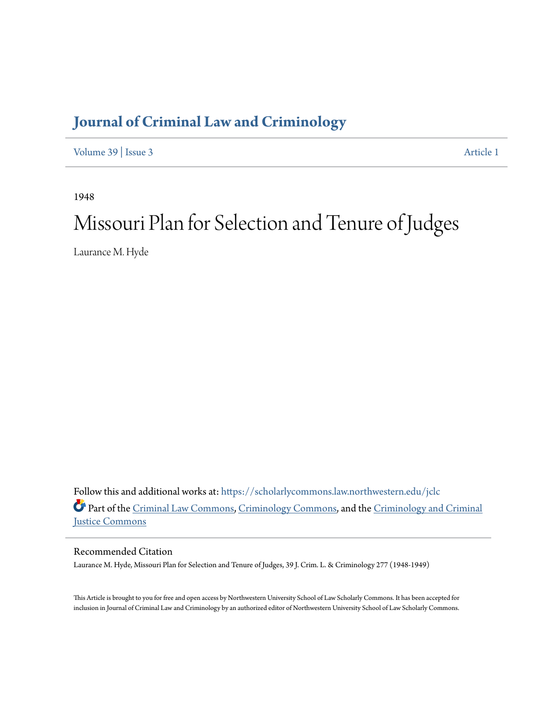# **[Journal of Criminal Law and Criminology](https://scholarlycommons.law.northwestern.edu/jclc?utm_source=scholarlycommons.law.northwestern.edu%2Fjclc%2Fvol39%2Fiss3%2F1&utm_medium=PDF&utm_campaign=PDFCoverPages)**

[Volume 39](https://scholarlycommons.law.northwestern.edu/jclc/vol39?utm_source=scholarlycommons.law.northwestern.edu%2Fjclc%2Fvol39%2Fiss3%2F1&utm_medium=PDF&utm_campaign=PDFCoverPages) | [Issue 3](https://scholarlycommons.law.northwestern.edu/jclc/vol39/iss3?utm_source=scholarlycommons.law.northwestern.edu%2Fjclc%2Fvol39%2Fiss3%2F1&utm_medium=PDF&utm_campaign=PDFCoverPages) [Article 1](https://scholarlycommons.law.northwestern.edu/jclc/vol39/iss3/1?utm_source=scholarlycommons.law.northwestern.edu%2Fjclc%2Fvol39%2Fiss3%2F1&utm_medium=PDF&utm_campaign=PDFCoverPages)

1948

# Missouri Plan for Selection and Tenure of Judges

Laurance M. Hyde

Follow this and additional works at: [https://scholarlycommons.law.northwestern.edu/jclc](https://scholarlycommons.law.northwestern.edu/jclc?utm_source=scholarlycommons.law.northwestern.edu%2Fjclc%2Fvol39%2Fiss3%2F1&utm_medium=PDF&utm_campaign=PDFCoverPages) Part of the [Criminal Law Commons](http://network.bepress.com/hgg/discipline/912?utm_source=scholarlycommons.law.northwestern.edu%2Fjclc%2Fvol39%2Fiss3%2F1&utm_medium=PDF&utm_campaign=PDFCoverPages), [Criminology Commons](http://network.bepress.com/hgg/discipline/417?utm_source=scholarlycommons.law.northwestern.edu%2Fjclc%2Fvol39%2Fiss3%2F1&utm_medium=PDF&utm_campaign=PDFCoverPages), and the [Criminology and Criminal](http://network.bepress.com/hgg/discipline/367?utm_source=scholarlycommons.law.northwestern.edu%2Fjclc%2Fvol39%2Fiss3%2F1&utm_medium=PDF&utm_campaign=PDFCoverPages) [Justice Commons](http://network.bepress.com/hgg/discipline/367?utm_source=scholarlycommons.law.northwestern.edu%2Fjclc%2Fvol39%2Fiss3%2F1&utm_medium=PDF&utm_campaign=PDFCoverPages)

Recommended Citation

Laurance M. Hyde, Missouri Plan for Selection and Tenure of Judges, 39 J. Crim. L. & Criminology 277 (1948-1949)

This Article is brought to you for free and open access by Northwestern University School of Law Scholarly Commons. It has been accepted for inclusion in Journal of Criminal Law and Criminology by an authorized editor of Northwestern University School of Law Scholarly Commons.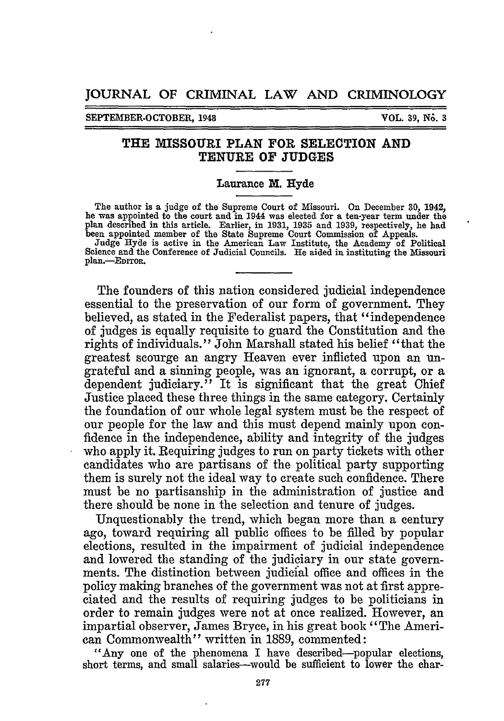**SEPTEMBER-OCTOBER, 1948 VOL. 39, No. 3** 

# **THE MISSOURI PLAN FOR SELECTION AND TENURE OF JUDGES**

#### **Laurance M. Hyde**

The author is a judge of the Supreme Court of Missouri. On December 30, 1942, he was appointed to the court and in 1944 was elected for a ten-year term under the plan described in this article. Earlier, in 1931, 1935 and 1

been appointed member of the State Supreme Court Commission of Appeals.<br>Judge Hyde is active in the American Law Institute, the Academy of Political<br>Science and the Conference of Judicial Councils. He aided in instituting **plan.--EDITOR.**

The founders of this nation considered judicial independence essential to the preservation of our form of government. They believed, as stated in the Federalist papers, that "independence of judges is equally requisite to guard the Constitution and the rights of individuals." John Marshall stated his belief "that the greatest scourge an angry Heaven ever inflicted upon an ungrateful and a sinning people, was an ignorant, a corrupt, or a dependent judiciary." It is significant that the great Chief Justice placed these three things in the same category. Certainly the foundation of our whole legal system must be the respect of our people for the law and this must depend mainly upon confidence in the independence, ability and integrity of the judges who apply it. Requiring judges to run on party tickets with other candidates who are partisans of the political party supporting them is surely not the ideal way to create such confidence. There must be no partisanship in the administration of justice and there should be none in the selection and tenure of judges.

Unquestionably the trend, which began more than a century ago, toward requiring all public offices to be filled by popular elections, resulted in the impairment of judicial independence and lowered the standing of the judiciary in our state governments. The distinction between judicial office and offices in the policy making branches of the government was not at first appreciated and the results of requiring judges to be politicians in order to remain judges were not at once realized. However, an impartial observer, James Bryce, in his great book "The American Commonwealth" written in **1889,** commented:

"Any one of the phenomena I have described-popular elections, short terms, and small salaries--would be sufficient to lower the char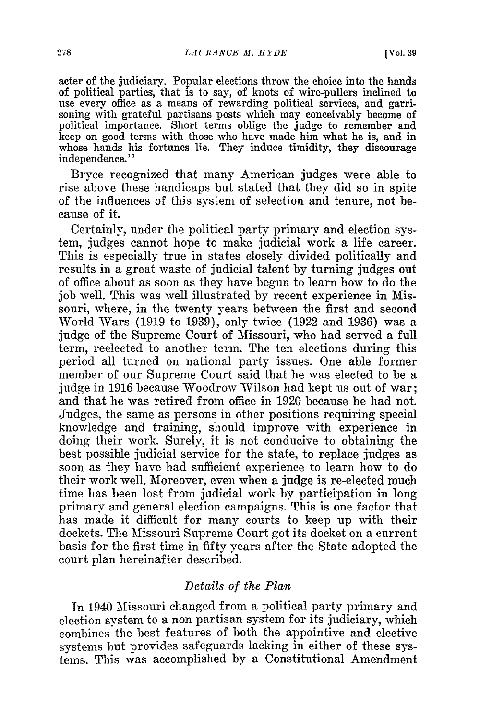acter of the judiciary. Popular elections throw the choice into the hands of political parties, that is to say, of knots of wire-pullers inclined to use every office as a means of rewarding political services, and garrisoning with grateful partisans posts which may conceivably become of political importance. Short terms oblige the judge to remember and keep on good terms with those who have made him what he is, and in whose hands his fortunes lie. They induce timidity, they discourage independence."

Bryce recognized that many American judges were able to rise above these handicaps but stated that they did so in spite of the influences of this system of selection and tenure, not because of it.

Certainly, under the political party primary and election system, judges cannot hope to make judicial work a life career. This is especially true in states closely divided politically and results in a great waste of judicial talent by turning judges out of office about as soon as they have begun to learn how to do the job well. This was well illustrated by recent experience in Missouri, where, in the twenty years between the first and second World Wars (1919 to 1939), only twice (1922 and 1936) was a judge of the Supreme Court of Missouri, who had served a full term, reelected to another term. The ten elections during this period all turned on national party issues. One able former member of our Supreme Court said that he was elected to be a judge in 1916 because Woodrow Wilson had kept us out of war; and that he was retired from office in 1920 because he had not. Judges, the same as persons in other positions requiring special knowledge and training, should improve with experience in doing their work. Surely, it is not conducive to obtaining the best possible judicial service for the state, to replace judges as soon as they have had sufficient experience to learn how to do their work well. Moreover, even when a judge is re-elected much time has been lost from judicial work by participation in long primary and general election campaigns. This is one factor that has made it difficult for many courts to keep up with their dockets. The Missouri Supreme Court got its docket on a current basis for the first time in fifty years after the State adopted the court plan hereinafter described.

# *Details of the Plan*

In 1940 Missouri changed from a political party primary and election system to a non partisan system for its judiciary, which combines the best features of both the appointive and elective systems but provides safeguards lacking in either of these systems. This was accomplished by a Constitutional Amendment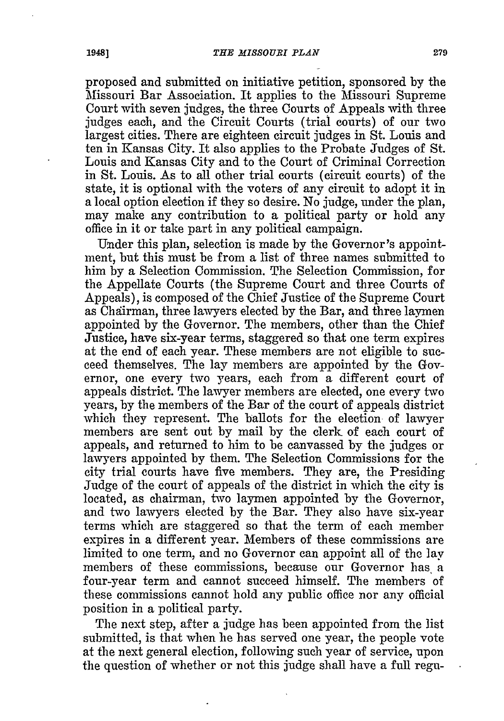proposed and submitted on initiative petition, sponsored **by** the Missouri Bar Association. It applies to the Missouri Supreme Court with seven judges, the three Courts of Appeals with three judges each, and the Circuit Courts (trial courts) of our two largest cities. There are eighteen circuit judges in St. Louis and ten in Kansas City. It also applies to the Probate Judges of St. Louis and Kansas City and to the Court of Criminal Correction in St. Louis. As to all other trial courts (circuit courts) of the state, it is optional with the voters of any circuit to adopt it in a local option election if they so desire. No judge, under the plan, may make any contribution to a political party or hold any office in it or take part in any political campaign.

Under this plan, selection is made by the Governor's appointment, but this must be from a list of three names submitted to him by a Selection Commission. The Selection Commission, for the Appellate Courts (the Supreme Court and three Courts of Appeals), is composed of the Chief Justice of the Supreme Court as Chairman, three lawyers elected by the Bar, and three laymen appointed by the Governor. The members, other than the Chief Justice, have six-year terms, staggered so that one term expires at the end of each year. These members are not eligible to succeed themselves. The lay members are appointed by the Governor, one every two years, each from a different court of appeals district. The lawyer members are elected, one every two years, **by** the members of the Bar of the court of appeals district which they represent. The ballots for the election of lawyer members are sent out by mail by the clerk of each court of appeals, and returned to him to be canvassed by the judges or lawyers appointed by them. The Selection Commissions for the city trial courts have five members. They are, the Presiding Judge of the court of appeals of the district in which the city is located, as chairman, two laymen appointed by the Governor, and two lawyers elected by the Bar. They also have six-year terms which are staggered so that the term of each member expires in a different year. Members of these commissions are limited to one term, and no Governor can appoint all of the lay members of these commissions, because our Governor has a four-year term and cannot succeed himself. The members of these commissions cannot hold any public office nor any official position in a political party.

The next step, after a judge has been appointed from the list submitted, is that when he has served one year, the people vote at the next general election, following such year of service, upon the question of whether or not this judge shall have a full regu-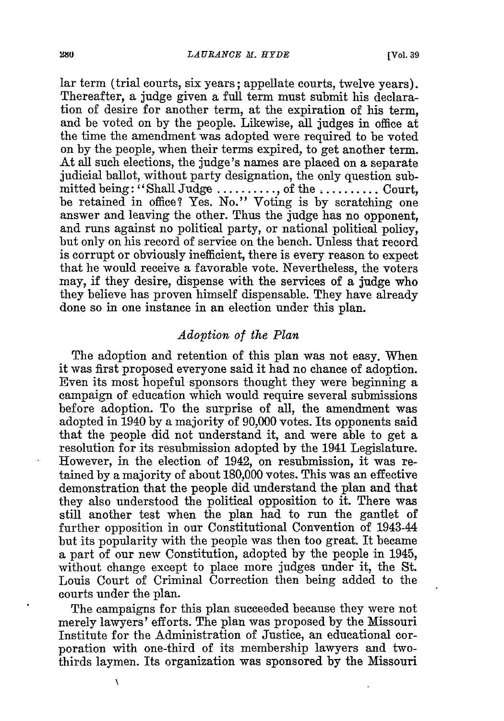lar term (trial courts, six years; appellate courts, twelve years). Thereafter, a judge given a full term must submit his declaration of desire for another term, at the expiration of his term, and be voted on by the people. Likewise, all judges in office at the time the amendment was adopted were required to be voted on by the people, when their terms expired, to get another term. At all such elections, the judge's names are placed on a separate judicial ballot, without party designation, the only question submitted being: "Shall Judge ........ , of the ......... Court, be retained in office? Yes. No." Voting is by scratching one answer and leaving the other. Thus the judge has no opponent, and runs against no political party, or national political policy, but only on his record of service on the bench. Unless that record is corrupt or obviously inefficient, there is every reason to expect that he would receive a favorable vote. Nevertheless, the voters may, if they desire, dispense with the services of a judge who they believe has proven himself dispensable. They have already done so in one instance in an election under this plan.

# *Adoption of the Plan*

The adoption and retention of this plan was not easy. When it was first proposed everyone said it had no chance of adoption. Even its most hopeful sponsors thought they were beginning a campaign of education which would require several submissions before adoption. To the surprise of all, the amendment was adopted in 1940 by a majority of 90,000 votes. Its opponents said that the people did not understand it, and were able to get a resolution for its resubmission adopted by the 1941 Legislature. However, in the election of 1942, on resubmission, it was retained by a majority of about 180,000 votes. This was an effective demonstration that the people did understand the plan and that they also understood the political opposition to it. There was still another test when the plan had to run the gantlet of further opposition in our Constitutional Convention of 1943-44 but its popularity with the people was then too great. It became a part of our new Constitution, adopted by the people in 1945, without change except to place more judges under it, the St. Louis Court of Criminal Correction then being added to the courts under the plan.

The campaigns for this plan succeeded because they were not merely lawyers' efforts. The plan was proposed by the Missouri Institute for the Administration of Justice, an educational corporation with one-third of its membership lawyers and twothirds laymen. Its organization was sponsored by the Missouri

 $\mathcal{L}$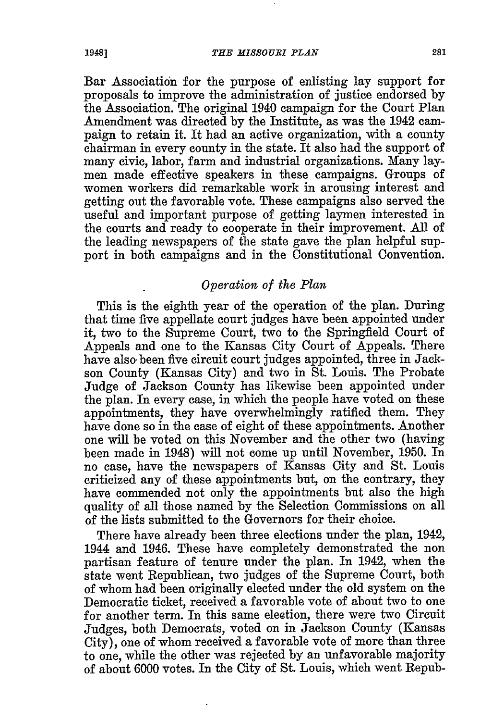Bar Association for the purpose of enlisting lay support for proposals to improve the administration of justice endorsed by the Association. The original 1940 campaign for the Court Plan Amendment was directed by the Institute, as was the 1942 campaign to retain it. It had an active organization, with a county chairman in every county in the state. It also had the support of many civic, labor, farm and industrial organizations. Many laymen made effective speakers in these campaigns. Groups of women workers did remarkable work in arousing interest and getting out the favorable vote. These campaigns also served the useful and important purpose of getting laymen interested in the courts and ready to cooperate in their improvement. All of the leading newspapers of the state gave the plan helpful support in both campaigns and in the Constitutional Convention.

### *Operation of the Plan*

This is the eighth year of the operation of the plan. During that time five appellate court judges have been appointed under it, two to the Supreme Court, two to the Springfield Court of Appeals and one to the Kansas City Court of Appeals. There have also-been five circuit court judges appointed, three in Jackson County (Kansas City) and two in St. Louis. The Probate Judge of Jackson County has likewise been appointed under the plan. In every case, in which the people have voted on these appointments, they have overwhelmingly ratified them. They have done so in the case of eight of these appointments. Another one will be voted on this November and the other two (having been made in 1948) will not come up until November, 1950. In no case, have the newspapers of Kansas City and St. Louis criticized any of these appointments but, on the contrary, they have commended not only the appointments but also the high quality of all those named by the Selection Commissions on all of the lists submitted to the Governors for their choice.

There have already been three elections under the plan, 1942, 1944 and 1946. These have completely demonstrated the non partisan feature of tenure under the plan. In 1942, when the state went Republican, two judges of the Supreme Court, both of whom had been originally elected under the old system on the Democratic ticket, received a favorable vote of about two to one for another term. In this same elegtion, there were two Circuit Judges, both Democrats, voted on in Jackson County (Kansas City), one of whom received a favorable vote of more than three to one, while the other was rejected by an unfavorable majority of about 6000 votes. In the City of St. Louis, which went Repub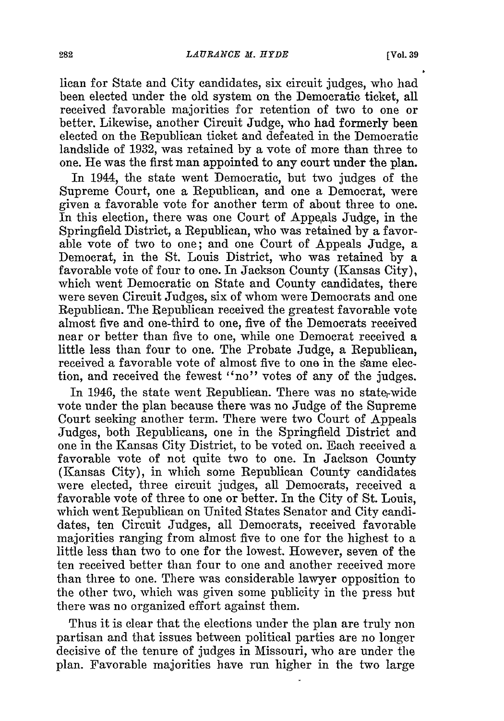lican for State and City candidates, six circuit judges, who had been elected under the old system on the Democratic ticket, all received favorable majorities for retention of two to one or better. Likewise, another Circuit Judge, who had formerly been elected on the Republican ticket and defeated in the Democratic landslide of 1932, was retained by a vote of more than three to one. He was the first man appointed to any court under the plan.

In 1944, the state went Democratic, but two judges of the Supreme Court, one a Republican, and one a Democrat, were given a favorable vote for another term of about three to one. In this election, there was one Court of Appeals Judge, in the Springfield District, a Republican, who was retained by a favorable vote of two to one; and one Court of Appeals Judge, a Democrat, in the St. Louis District, who was retained by a favorable vote of four to one. In Jackson County (Kansas City), which went Democratic on State and County candidates, there were seven Circuit Judges, six of whom were Democrats and one Republican. The Republican received the greatest favorable vote almost five and one-third to one, five of the Democrats received near or better than five to one, while one Democrat received a little less than four to one. The Probate Judge, a Republican, received a favorable vote of almost five to one in the same election, and received the fewest "no" votes of any of the judges.

In 1946, the state went Republican. There was no state-wide vote under the plan because there was no Judge of the Supreme Court seeking another term. There were two Court of Appeals Judges, both Republicans, one in the Springfield District and one in the Kansas City District, to be voted on. Each received a favorable vote of not quite two to one. In Jackson County (Kansas City), in which some Republican County candidates were elected, three circuit judges, all Democrats, received a favorable vote of three to one or better. In the City of St. Louis, which went Republican on United States Senator and City candidates, ten Circuit Judges, all Democrats, received favorable majorities ranging from almost five to one for the highest to a little less than two to one for the lowest. However, seven of the ten received better than four to one and another received more than three to one. There was considerable lawyer opposition to the other two, which was given some publicity in the press but there was no organized effort against them.

Thus it is clear that the elections under the plan are truly non partisan and that issues between political parties are no longer decisive of the tenure of judges in Missouri, who are under the plan. Favorable majorities have run higher in the two large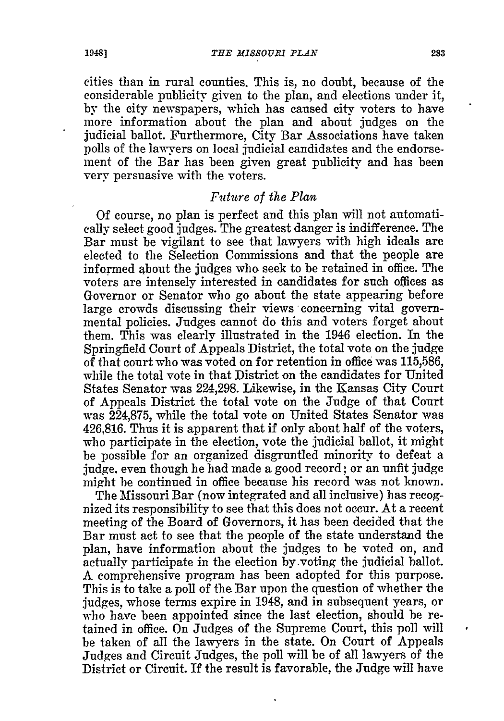cities than in rural counties. This is, no doubt, because of the considerable publicity given to the plan, and elections under it, by the city newspapers, which has caused city voters to have more information about the plan and about judges on the judicial ballot. Furthermore, City Bar Associations have taken polls of the lawyers on local judicial candidates and the endorsement of the Bar has been given great publicity and has been very persuasive with the voters.

# *Future of the Plan*

Of course, no plan is perfect and this plan will not automatically select good judges. The greatest danger is indifference. The Bar must be vigilant to see that lawyers with high ideals are elected to the Selection Commissions and that the people are informed about the judges who seek to be retained in office. The voters are intensely interested in candidates for such offices as Governor or Senator who go about the state appearing before large crowds discussing their views concerning vital governmental policies. Judges cannot do this and voters forget about them. This was clearly illustrated in the 1946 election. In the Springfield Court of Appeals District, the total vote on the judge of that court who was voted on for retention in office was 115,586, while the total vote in that District on the candidates for United States Senator was 224,298. Likewise, in the Kansas City Court of Appeals District the total vote on the Judge of that Court was 224,875, while the total vote on United States Senator was 426,816. Thus it is apparent that if only about half of the voters, who participate in the election, vote the judicial ballot, it might be possible for an organized disgruntled minority to defeat a judge. even though he had made a good record ; or an unfit judge might be continued in office because his record was not known.

The Missouri Bar (now integrated and all inclusive) has recognized its responsibility to see that this does not occur. At a recent meeting of the Board of Governors, it has been decided that the Bar must act to see that the people of the state understand the plan, have information about the judges to be voted on, and actually participate in the election by.voting the judicial ballot. A comprehensive program has been adopted for this purpose. This is to take a poll of the Bar upon the question of whether the judges, whose terms expire in 1948, and in subsequent years, or who have been appointed since the last election, should be retained in office. On Judges of the Supreme Court, this poll will be taken of all the lawyers in the state. On Court of Appeals Judges and Circuit Judges, the poll will be of all lawyers of the District or Circuit. If the result is favorable, the Judge will have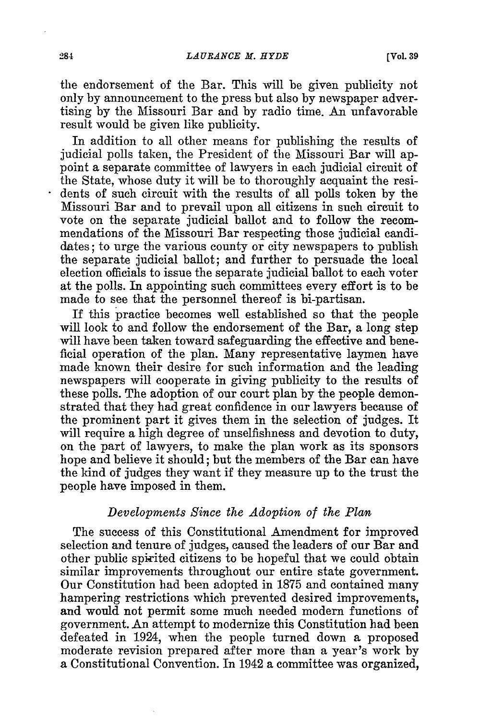the endorsement of the Bar. This will be given publicity not only by announcement to the press but also by newspaper advertising by the Missouri Bar and by radio time. An unfavorable result would be given like publicity.

In addition to all other means for publishing the results of judicial polls taken, the President of the Missouri Bar will appoint a separate committee of lawyers in each judicial circuit of the State, whose duty it will be to thoroughly acquaint the residents of such circuit with the results of all polls token by the Missouri Bar and to prevail upon all citizens in such circuit to vote on the separate judicial ballot and to follow the recommendations of the Missouri Bar respecting those judicial candidates; to urge the various county or city newspapers to publish the separate judicial ballot; and further to persuade the local election officials to issue the separate judicial ballot to each voter at the polls. In appointing such committees every effort is to be made to see that the personnel thereof is bi-partisan.

If this practice becomes well established so that the people will look to and follow the endorsement of the Bar, a long step will have been taken toward safeguarding the effective and beneficial operation of the plan. Many representative laymen have made known their desire for such information and the leading newspapers will cooperate in giving publicity to the results of these polls. The adoption of our court plan by the people demonstrated that they had great confidence in our lawyers because of the prominent part it gives them in the selection of judges. It will require a high degree of unselfishness and devotion to duty, on the part of lawyers, to make the plan work as its sponsors hope and believe it should; but the members of the Bar can have the kind of judges they want if they measure up to the trust the people have imposed in them.

# *Developments Since the Adoption of the Plan*

The success of this Constitutional Amendment for improved selection and tenure of judges, caused the leaders of our Bar and other public spirited citizens to be hopeful that we could obtain similar improvements throughout our entire state government. Our Constitution had been adopted in 1875 and contained many hampering restrictions which prevented desired improvements, and would not permit some much needed modern functions of government. An attempt to modernize this Constitution had been defeated in 1924, when the people turned down a proposed moderate revision prepared after more than a year's work by a Constitutional Convention. In 1942 a committee was organized,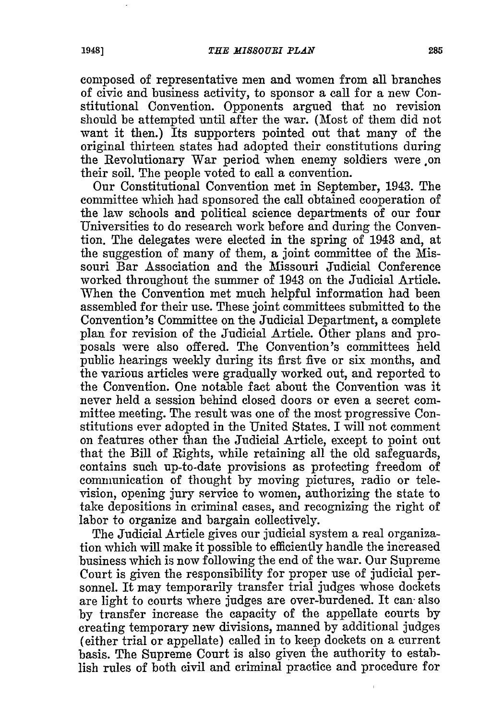composed of representative men and women from all branches of civic and business activity, to sponsor a call for a new Constitutional Convention. Opponents argued that no revision should be attempted until after the war. (Most of them did not want it then.) Its supporters pointed out that many of the original thirteen states had adopted their constitutions during the Revolutionary War period when enemy soldiers were .on their soil. The people voted to call a convention.

Our Constitutional Convention met in September, 1943. The committee which had sponsored the call obtained cooperation of the law schools and political science departments of our four Universities to do research work before and during the Convention. The delegates were elected in the spring of 1943 and, at the suggestion of many of them, a joint committee of the Missouri Bar Association and the Missouri Judicial Conference worked throughout the summer of 1943 on the Judicial Article. When the Convention met much helpful information had been assembled for their use. These joint committees submitted to the Convention's Committee on the Judicial Department, a complete plan for revision of the Judicial Article. Other plans and proposals were also offered. The Convention's committees held public hearings weekly during its first five or six months, and the various articles were gradually worked out, and reported to the Convention. One notable fact about the Convention was it never held a session behind closed doors or even a secret committee meeting. The result was one of the most progressive Constitutions ever adopted in the United States. I will not comment on features other than the Judicial Article, except to point out that the Bill of Rights, while retaining all the old safeguards, contains such up-to-date provisions as protecting freedom of communication of thought by moving pictures, radio or television, opening jury service to women, authorizing the state to take depositions in criminal cases, and recognizing the right of labor to organize and bargain collectively.

The Judicial Article gives our judicial system a real organization which will make it possible to efficiently handle the increased business which is now following the end of the war. Our Supreme Court is given the responsibility for proper use of judicial personnel. It may temporarily transfer trial judges whose dockets are light to courts where judges are over-burdened. It can- also by transfer increase the capacity of the appellate courts by creating temporary new divisions, manned by additional judges (either trial or appellate) called in to keep dockets on a current basis. The Supreme Court is also given the authority to establish rules of both civil and criminal practice and procedure for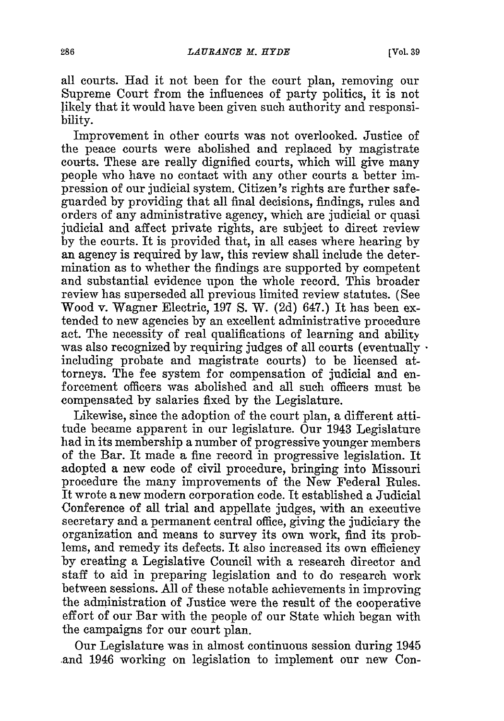all courts. Had it not been for the court plan, removing our Supreme Court from the influences of party politics, it is not likely that it would have been given such authority and responsibility.

Improvement in other courts was not overlooked. Justice of the peace courts were abolished and replaced by magistrate courts. These are really dignified courts, which will give many people who have no contact with any other courts a better impression of our judicial system. Citizen's rights are further safeguarded by providing that all final decisions, findings, rules and orders of any administrative agency, which are judicial or quasi judicial and affect private rights, are subject to direct review by the courts. It is provided that, in all cases where hearing by an agency is required by law, this review shall include the determination as to whether the findings are supported by competent and substantial evidence upon the whole record. This broader review has superseded all previous limited review statutes. (See Wood v. Wagner Electric, 197 **S.** W. (2d) 647.) It has been extended to new agencies by an excellent administrative procedure act. The necessity of real qualifications of learning and ability was also recognized by requiring judges of all courts (eventually  including probate and magistrate courts) to be licensed attorneys. The fee system for compensation of judicial and enforcement officers was abolished and all such officers must be compensated by salaries fixed by the Legislature.

Likewise, since the adoption of the court plan, a different attitude became apparent in our legislature. Our 1943 Legislature had in its membership a number of progressive younger members of the Bar. It made a fine record in progressive legislation. It adopted a new code of civil procedure, bringing into Missouri procedure the many improvements of the New Federal Rules. It wrote a new modern corporation code. It established a Judicial Conference of all trial and appellate judges, with an executive secretary and a permanent central office, giving the judiciary the organization and means to survey its own work, find its problems, and remedy its defects. It also increased its own efficiency by creating a Legislative Council with a research director and staff to aid in preparing legislation and to do research work between sessions. All of these notable achievements in improving the administration of Justice were the result of the cooperative effort of our Bar with the people of our State which began with the campaigns for our court plan.

Our Legislature was in almost continuous session during 1945 and 1946 working on legislation to implement our new Con-